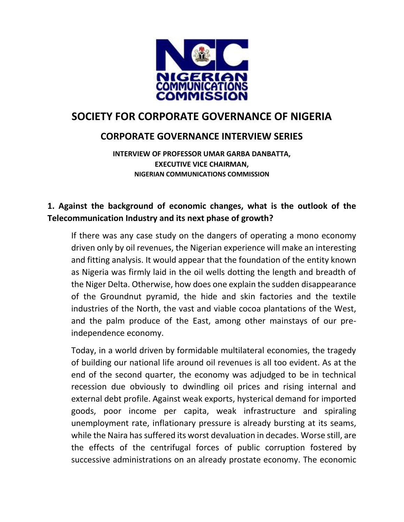

# **SOCIETY FOR CORPORATE GOVERNANCE OF NIGERIA**

# **CORPORATE GOVERNANCE INTERVIEW SERIES**

**INTERVIEW OF PROFESSOR UMAR GARBA DANBATTA, EXECUTIVE VICE CHAIRMAN, NIGERIAN COMMUNICATIONS COMMISSION**

#### **1. Against the background of economic changes, what is the outlook of the Telecommunication Industry and its next phase of growth?**

If there was any case study on the dangers of operating a mono economy driven only by oil revenues, the Nigerian experience will make an interesting and fitting analysis. It would appear that the foundation of the entity known as Nigeria was firmly laid in the oil wells dotting the length and breadth of the Niger Delta. Otherwise, how does one explain the sudden disappearance of the Groundnut pyramid, the hide and skin factories and the textile industries of the North, the vast and viable cocoa plantations of the West, and the palm produce of the East, among other mainstays of our preindependence economy.

Today, in a world driven by formidable multilateral economies, the tragedy of building our national life around oil revenues is all too evident. As at the end of the second quarter, the economy was adjudged to be in technical recession due obviously to dwindling oil prices and rising internal and external debt profile. Against weak exports, hysterical demand for imported goods, poor income per capita, weak infrastructure and spiraling unemployment rate, inflationary pressure is already bursting at its seams, while the Naira has suffered its worst devaluation in decades. Worse still, are the effects of the centrifugal forces of public corruption fostered by successive administrations on an already prostate economy. The economic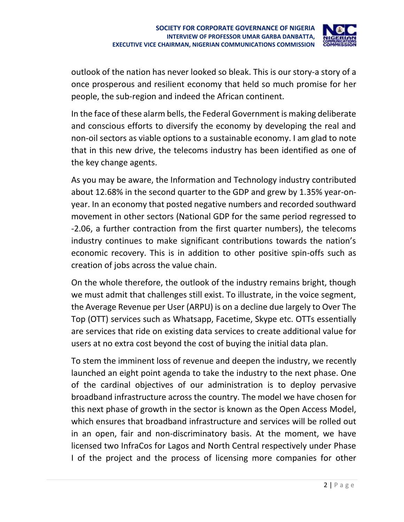

outlook of the nation has never looked so bleak. This is our story-a story of a once prosperous and resilient economy that held so much promise for her people, the sub-region and indeed the African continent.

In the face of these alarm bells, the Federal Government is making deliberate and conscious efforts to diversify the economy by developing the real and non-oil sectors as viable options to a sustainable economy. I am glad to note that in this new drive, the telecoms industry has been identified as one of the key change agents.

As you may be aware, the Information and Technology industry contributed about 12.68% in the second quarter to the GDP and grew by 1.35% year-onyear. In an economy that posted negative numbers and recorded southward movement in other sectors (National GDP for the same period regressed to -2.06, a further contraction from the first quarter numbers), the telecoms industry continues to make significant contributions towards the nation's economic recovery. This is in addition to other positive spin-offs such as creation of jobs across the value chain.

On the whole therefore, the outlook of the industry remains bright, though we must admit that challenges still exist. To illustrate, in the voice segment, the Average Revenue per User (ARPU) is on a decline due largely to Over The Top (OTT) services such as Whatsapp, Facetime, Skype etc. OTTs essentially are services that ride on existing data services to create additional value for users at no extra cost beyond the cost of buying the initial data plan.

To stem the imminent loss of revenue and deepen the industry, we recently launched an eight point agenda to take the industry to the next phase. One of the cardinal objectives of our administration is to deploy pervasive broadband infrastructure across the country. The model we have chosen for this next phase of growth in the sector is known as the Open Access Model, which ensures that broadband infrastructure and services will be rolled out in an open, fair and non-discriminatory basis. At the moment, we have licensed two InfraCos for Lagos and North Central respectively under Phase I of the project and the process of licensing more companies for other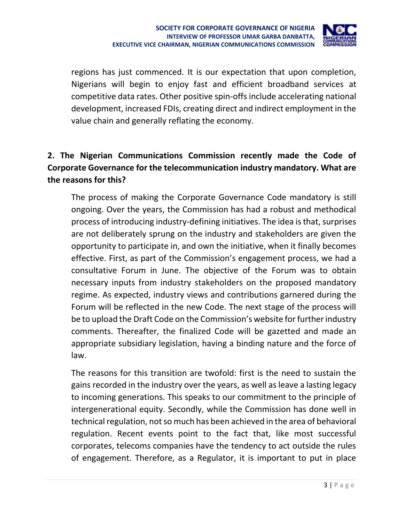

regions has just commenced. It is our expectation that upon completion, Nigerians will begin to enjoy fast and efficient broadband services at competitive data rates. Other positive spin-offs include accelerating national development, increased FDIs, creating direct and indirect employment in the value chain and generally reflating the economy.

## **2. The Nigerian Communications Commission recently made the Code of Corporate Governance for the telecommunication industry mandatory. What are the reasons for this?**

The process of making the Corporate Governance Code mandatory is still ongoing. Over the years, the Commission has had a robust and methodical process of introducing industry-defining initiatives. The idea is that, surprises are not deliberately sprung on the industry and stakeholders are given the opportunity to participate in, and own the initiative, when it finally becomes effective. First, as part of the Commission's engagement process, we had a consultative Forum in June. The objective of the Forum was to obtain necessary inputs from industry stakeholders on the proposed mandatory regime. As expected, industry views and contributions garnered during the Forum will be reflected in the new Code. The next stage of the process will be to upload the Draft Code on the Commission's website for further industry comments. Thereafter, the finalized Code will be gazetted and made an appropriate subsidiary legislation, having a binding nature and the force of law.

The reasons for this transition are twofold: first is the need to sustain the gains recorded in the industry over the years, as well as leave a lasting legacy to incoming generations. This speaks to our commitment to the principle of intergenerational equity. Secondly, while the Commission has done well in technical regulation, not so much has been achieved in the area of behavioral regulation. Recent events point to the fact that, like most successful corporates, telecoms companies have the tendency to act outside the rules of engagement. Therefore, as a Regulator, it is important to put in place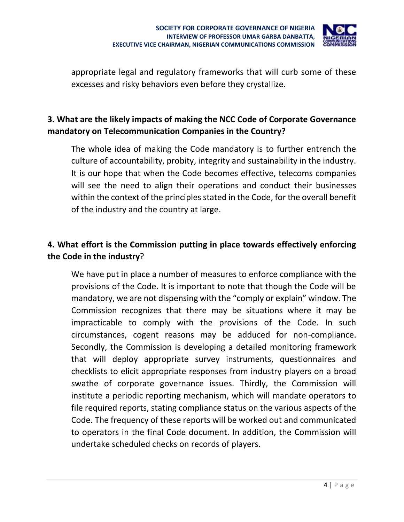

appropriate legal and regulatory frameworks that will curb some of these excesses and risky behaviors even before they crystallize.

## **3. What are the likely impacts of making the NCC Code of Corporate Governance mandatory on Telecommunication Companies in the Country?**

The whole idea of making the Code mandatory is to further entrench the culture of accountability, probity, integrity and sustainability in the industry. It is our hope that when the Code becomes effective, telecoms companies will see the need to align their operations and conduct their businesses within the context of the principles stated in the Code, for the overall benefit of the industry and the country at large.

### **4. What effort is the Commission putting in place towards effectively enforcing the Code in the industry**?

We have put in place a number of measures to enforce compliance with the provisions of the Code. It is important to note that though the Code will be mandatory, we are not dispensing with the "comply or explain" window. The Commission recognizes that there may be situations where it may be impracticable to comply with the provisions of the Code. In such circumstances, cogent reasons may be adduced for non-compliance. Secondly, the Commission is developing a detailed monitoring framework that will deploy appropriate survey instruments, questionnaires and checklists to elicit appropriate responses from industry players on a broad swathe of corporate governance issues. Thirdly, the Commission will institute a periodic reporting mechanism, which will mandate operators to file required reports, stating compliance status on the various aspects of the Code. The frequency of these reports will be worked out and communicated to operators in the final Code document. In addition, the Commission will undertake scheduled checks on records of players.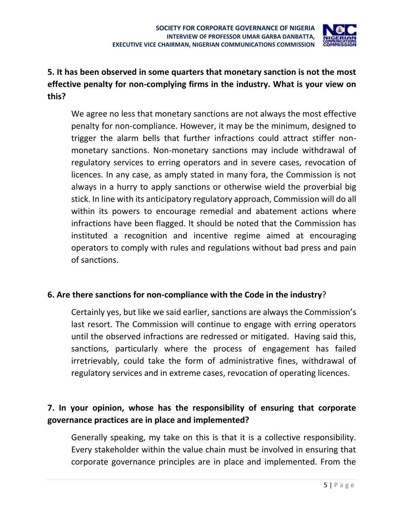

## **5. It has been observed in some quarters that monetary sanction is not the most effective penalty for non-complying firms in the industry. What is your view on this?**

We agree no less that monetary sanctions are not always the most effective penalty for non-compliance. However, it may be the minimum, designed to trigger the alarm bells that further infractions could attract stiffer nonmonetary sanctions. Non-monetary sanctions may include withdrawal of regulatory services to erring operators and in severe cases, revocation of licences. In any case, as amply stated in many fora, the Commission is not always in a hurry to apply sanctions or otherwise wield the proverbial big stick. In line with its anticipatory regulatory approach, Commission will do all within its powers to encourage remedial and abatement actions where infractions have been flagged. It should be noted that the Commission has instituted a recognition and incentive regime aimed at encouraging operators to comply with rules and regulations without bad press and pain of sanctions.

#### **6. Are there sanctions for non-compliance with the Code in the industry**?

Certainly yes, but like we said earlier, sanctions are always the Commission's last resort. The Commission will continue to engage with erring operators until the observed infractions are redressed or mitigated. Having said this, sanctions, particularly where the process of engagement has failed irretrievably, could take the form of administrative fines, withdrawal of regulatory services and in extreme cases, revocation of operating licences.

### **7. In your opinion, whose has the responsibility of ensuring that corporate governance practices are in place and implemented?**

Generally speaking, my take on this is that it is a collective responsibility. Every stakeholder within the value chain must be involved in ensuring that corporate governance principles are in place and implemented. From the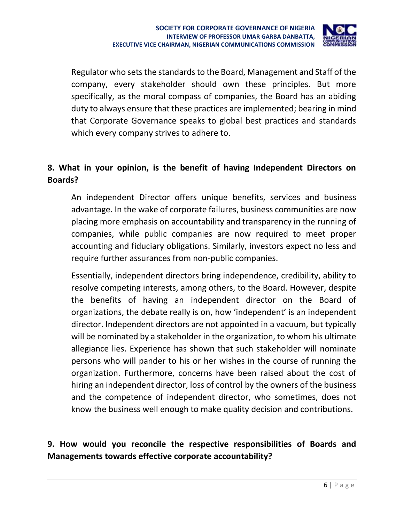

Regulator who sets the standards to the Board, Management and Staff of the company, every stakeholder should own these principles. But more specifically, as the moral compass of companies, the Board has an abiding duty to always ensure that these practices are implemented; bearing in mind that Corporate Governance speaks to global best practices and standards which every company strives to adhere to.

### **8. What in your opinion, is the benefit of having Independent Directors on Boards?**

An independent Director offers unique benefits, services and business advantage. In the wake of corporate failures, business communities are now placing more emphasis on accountability and transparency in the running of companies, while public companies are now required to meet proper accounting and fiduciary obligations. Similarly, investors expect no less and require further assurances from non-public companies.

Essentially, independent directors bring independence, credibility, ability to resolve competing interests, among others, to the Board. However, despite the benefits of having an independent director on the Board of organizations, the debate really is on, how 'independent' is an independent director. Independent directors are not appointed in a vacuum, but typically will be nominated by a stakeholder in the organization, to whom his ultimate allegiance lies. Experience has shown that such stakeholder will nominate persons who will pander to his or her wishes in the course of running the organization. Furthermore, concerns have been raised about the cost of hiring an independent director, loss of control by the owners of the business and the competence of independent director, who sometimes, does not know the business well enough to make quality decision and contributions.

### **9. How would you reconcile the respective responsibilities of Boards and Managements towards effective corporate accountability?**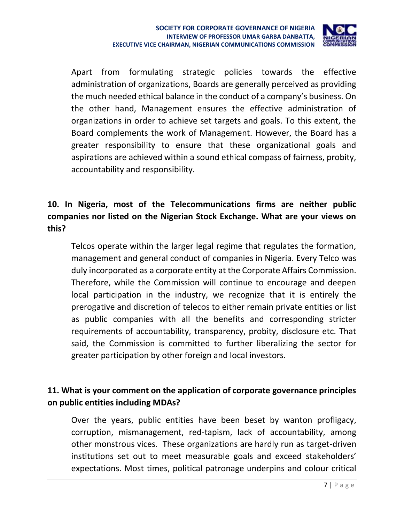

Apart from formulating strategic policies towards the effective administration of organizations, Boards are generally perceived as providing the much needed ethical balance in the conduct of a company's business. On the other hand, Management ensures the effective administration of organizations in order to achieve set targets and goals. To this extent, the Board complements the work of Management. However, the Board has a greater responsibility to ensure that these organizational goals and aspirations are achieved within a sound ethical compass of fairness, probity, accountability and responsibility.

# **10. In Nigeria, most of the Telecommunications firms are neither public companies nor listed on the Nigerian Stock Exchange. What are your views on this?**

Telcos operate within the larger legal regime that regulates the formation, management and general conduct of companies in Nigeria. Every Telco was duly incorporated as a corporate entity at the Corporate Affairs Commission. Therefore, while the Commission will continue to encourage and deepen local participation in the industry, we recognize that it is entirely the prerogative and discretion of telecos to either remain private entities or list as public companies with all the benefits and corresponding stricter requirements of accountability, transparency, probity, disclosure etc. That said, the Commission is committed to further liberalizing the sector for greater participation by other foreign and local investors.

### **11. What is your comment on the application of corporate governance principles on public entities including MDAs?**

Over the years, public entities have been beset by wanton profligacy, corruption, mismanagement, red-tapism, lack of accountability, among other monstrous vices. These organizations are hardly run as target-driven institutions set out to meet measurable goals and exceed stakeholders' expectations. Most times, political patronage underpins and colour critical